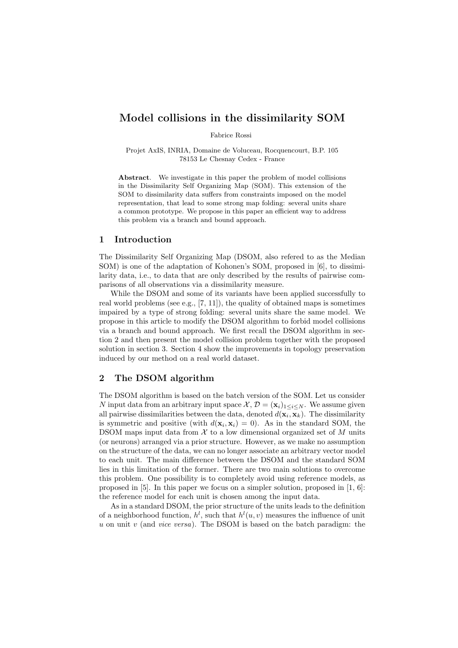# Model collisions in the dissimilarity SOM

Fabrice Rossi

Projet AxIS, INRIA, Domaine de Voluceau, Rocquencourt, B.P. 105 78153 Le Chesnay Cedex - France

Abstract. We investigate in this paper the problem of model collisions in the Dissimilarity Self Organizing Map (SOM). This extension of the SOM to dissimilarity data suffers from constraints imposed on the model representation, that lead to some strong map folding: several units share a common prototype. We propose in this paper an efficient way to address this problem via a branch and bound approach.

### 1 Introduction

The Dissimilarity Self Organizing Map (DSOM, also refered to as the Median SOM) is one of the adaptation of Kohonen's SOM, proposed in [6], to dissimilarity data, i.e., to data that are only described by the results of pairwise comparisons of all observations via a dissimilarity measure.

While the DSOM and some of its variants have been applied successfully to real world problems (see e.g., [7, 11]), the quality of obtained maps is sometimes impaired by a type of strong folding: several units share the same model. We propose in this article to modify the DSOM algorithm to forbid model collisions via a branch and bound approach. We first recall the DSOM algorithm in section 2 and then present the model collision problem together with the proposed solution in section 3. Section 4 show the improvements in topology preservation induced by our method on a real world dataset.

# 2 The DSOM algorithm

The DSOM algorithm is based on the batch version of the SOM. Let us consider N input data from an arbitrary input space  $\mathcal{X}, \mathcal{D} = (\mathbf{x}_i)_{1 \leq i \leq N}$ . We assume given all pairwise dissimilarities between the data, denoted  $d(\mathbf{x}_i, \mathbf{x}_k)$ . The dissimilarity is symmetric and positive (with  $d(\mathbf{x}_i, \mathbf{x}_i) = 0$ ). As in the standard SOM, the DSOM maps input data from  $X$  to a low dimensional organized set of  $M$  units (or neurons) arranged via a prior structure. However, as we make no assumption on the structure of the data, we can no longer associate an arbitrary vector model to each unit. The main difference between the DSOM and the standard SOM lies in this limitation of the former. There are two main solutions to overcome this problem. One possibility is to completely avoid using reference models, as proposed in [5]. In this paper we focus on a simpler solution, proposed in [1, 6]: the reference model for each unit is chosen among the input data.

As in a standard DSOM, the prior structure of the units leads to the definition of a neighborhood function,  $h^l$ , such that  $h^l(u, v)$  measures the influence of unit u on unit v (and vice versa). The DSOM is based on the batch paradigm: the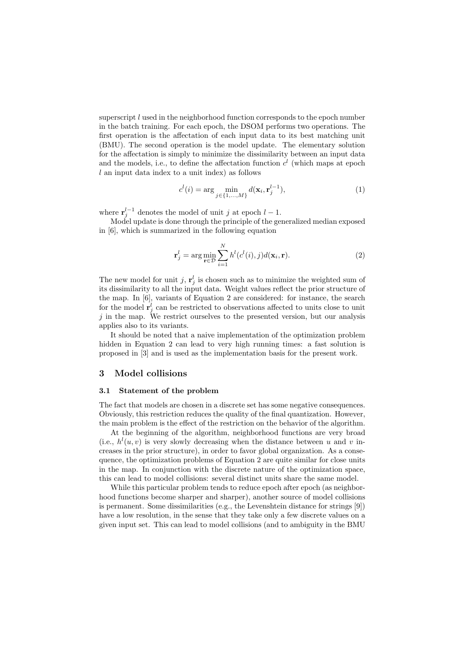superscript  $l$  used in the neighborhood function corresponds to the epoch number in the batch training. For each epoch, the DSOM performs two operations. The first operation is the affectation of each input data to its best matching unit (BMU). The second operation is the model update. The elementary solution for the affectation is simply to minimize the dissimilarity between an input data and the models, i.e., to define the affectation function  $c<sup>l</sup>$  (which maps at epoch  $l$  an input data index to a unit index) as follows

$$
c^{l}(i) = \arg\min_{j \in \{1, ..., M\}} d(\mathbf{x}_{i}, \mathbf{r}_{j}^{l-1}),
$$
\n(1)

where  $\mathbf{r}_{j}^{l-1}$  denotes the model of unit j at epoch  $l-1$ .

Model update is done through the principle of the generalized median exposed in [6], which is summarized in the following equation

$$
\mathbf{r}_j^l = \arg\min_{\mathbf{r}\in\mathcal{D}} \sum_{i=1}^N h^l(c^l(i), j) d(\mathbf{x}_i, \mathbf{r}).
$$
\n(2)

The new model for unit j,  $\mathbf{r}_j^l$  is chosen such as to minimize the weighted sum of its dissimilarity to all the input data. Weight values reflect the prior structure of the map. In [6], variants of Equation 2 are considered: for instance, the search for the model  $\mathbf{r}_j^l$  can be restricted to observations affected to units close to unit  $j$  in the map. We restrict ourselves to the presented version, but our analysis applies also to its variants.

It should be noted that a naive implementation of the optimization problem hidden in Equation 2 can lead to very high running times: a fast solution is proposed in [3] and is used as the implementation basis for the present work.

### 3 Model collisions

# 3.1 Statement of the problem

The fact that models are chosen in a discrete set has some negative consequences. Obviously, this restriction reduces the quality of the final quantization. However, the main problem is the effect of the restriction on the behavior of the algorithm.

At the beginning of the algorithm, neighborhood functions are very broad (i.e.,  $h^l(u, v)$  is very slowly decreasing when the distance between u and v increases in the prior structure), in order to favor global organization. As a consequence, the optimization problems of Equation 2 are quite similar for close units in the map. In conjunction with the discrete nature of the optimization space, this can lead to model collisions: several distinct units share the same model.

While this particular problem tends to reduce epoch after epoch (as neighborhood functions become sharper and sharper), another source of model collisions is permanent. Some dissimilarities (e.g., the Levenshtein distance for strings [9]) have a low resolution, in the sense that they take only a few discrete values on a given input set. This can lead to model collisions (and to ambiguity in the BMU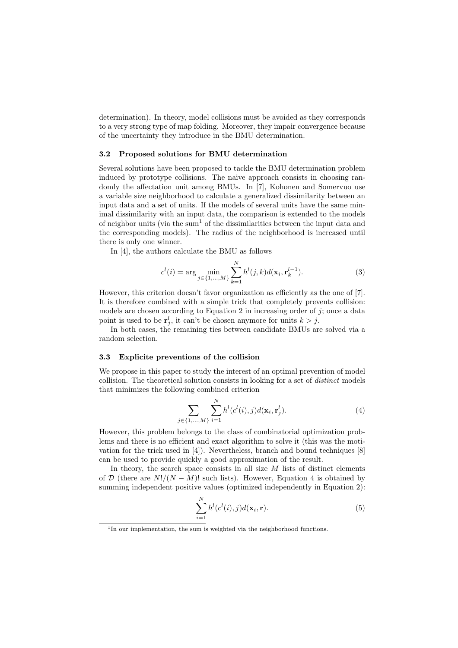determination). In theory, model collisions must be avoided as they corresponds to a very strong type of map folding. Moreover, they impair convergence because of the uncertainty they introduce in the BMU determination.

#### 3.2 Proposed solutions for BMU determination

Several solutions have been proposed to tackle the BMU determination problem induced by prototype collisions. The naive approach consists in choosing randomly the affectation unit among BMUs. In [7], Kohonen and Somervuo use a variable size neighborhood to calculate a generalized dissimilarity between an input data and a set of units. If the models of several units have the same minimal dissimilarity with an input data, the comparison is extended to the models of neighbor units (via the sum<sup>1</sup> of the dissimilarities between the input data and the corresponding models). The radius of the neighborhood is increased until there is only one winner.

In [4], the authors calculate the BMU as follows

$$
c^{l}(i) = \arg\min_{j \in \{1, ..., M\}} \sum_{k=1}^{N} h^{l}(j, k) d(\mathbf{x}_{i}, \mathbf{r}_{k}^{l-1}).
$$
\n(3)

However, this criterion doesn't favor organization as efficiently as the one of [7]. It is therefore combined with a simple trick that completely prevents collision: models are chosen according to Equation 2 in increasing order of  $j$ ; once a data point is used to be  $\mathbf{r}_j^l$ , it can't be chosen anymore for units  $k > j$ .

In both cases, the remaining ties between candidate BMUs are solved via a random selection.

### 3.3 Explicite preventions of the collision

We propose in this paper to study the interest of an optimal prevention of model collision. The theoretical solution consists in looking for a set of distinct models that minimizes the following combined criterion

$$
\sum_{j \in \{1, ..., M\}} \sum_{i=1}^{N} h^{l}(c^{l}(i), j) d(\mathbf{x}_{i}, \mathbf{r}_{j}^{l}).
$$
\n(4)

However, this problem belongs to the class of combinatorial optimization problems and there is no efficient and exact algorithm to solve it (this was the motivation for the trick used in [4]). Nevertheless, branch and bound techniques [8] can be used to provide quickly a good approximation of the result.

In theory, the search space consists in all size  $M$  lists of distinct elements of D (there are  $N!/(N-M)!$  such lists). However, Equation 4 is obtained by summing independent positive values (optimized independently in Equation 2):

$$
\sum_{i=1}^{N} h^l(c^l(i), j) d(\mathbf{x}_i, \mathbf{r}).
$$
\n(5)

<sup>&</sup>lt;sup>1</sup>In our implementation, the sum is weighted via the neighborhood functions.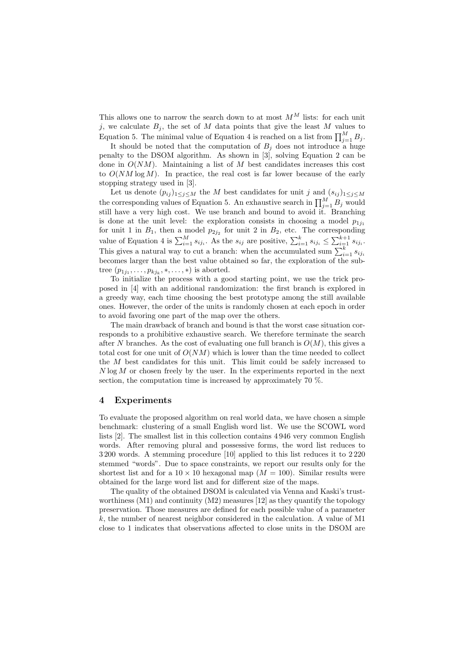This allows one to narrow the search down to at most  $M^M$  lists: for each unit j, we calculate  $B_i$ , the set of M data points that give the least M values to Equation 5. The minimal value of Equation 4 is reached on a list from  $\prod_{j=1}^{M} B_j$ .

It should be noted that the computation of  $B_j$  does not introduce a huge penalty to the DSOM algorithm. As shown in [3], solving Equation 2 can be done in  $O(NM)$ . Maintaining a list of M best candidates increases this cost to  $O(NM \log M)$ . In practice, the real cost is far lower because of the early stopping strategy used in [3].

Let us denote  $(p_{ij})_{1\leq j\leq M}$  the M best candidates for unit j and  $(s_{ij})_{1\leq j\leq M}$ the corresponding values of Equation 5. An exhaustive search in  $\prod_{j=1}^{M} B_j$  would still have a very high cost. We use branch and bound to avoid it. Branching is done at the unit level: the exploration consists in choosing a model  $p_{1j_1}$ for unit 1 in  $B_1$ , then a model  $p_{2j_2}$  for unit 2 in  $B_2$ , etc. The corresponding value of Equation 4 is  $\sum_{i=1}^{M} s_{ij_i}$ . As the  $s_{ij}$  are positive,  $\sum_{i=1}^{k} s_{ij_i} \leq \sum_{i=1}^{k+1} s_{ij_i}$ . This gives a natural way to cut a branch: when the accumulated sum  $\sum_{i=1}^{k} s_{ij_i}$ becomes larger than the best value obtained so far, the exploration of the subtree  $(p_{1j_1},...,p_{kj_k},*,...,*)$  is aborted.

To initialize the process with a good starting point, we use the trick proposed in [4] with an additional randomization: the first branch is explored in a greedy way, each time choosing the best prototype among the still available ones. However, the order of the units is randomly chosen at each epoch in order to avoid favoring one part of the map over the others.

The main drawback of branch and bound is that the worst case situation corresponds to a prohibitive exhaustive search. We therefore terminate the search after N branches. As the cost of evaluating one full branch is  $O(M)$ , this gives a total cost for one unit of  $O(NM)$  which is lower than the time needed to collect the  $M$  best candidates for this unit. This limit could be safely increased to  $N \log M$  or chosen freely by the user. In the experiments reported in the next section, the computation time is increased by approximately 70 %.

## 4 Experiments

To evaluate the proposed algorithm on real world data, we have chosen a simple benchmark: clustering of a small English word list. We use the SCOWL word lists [2]. The smallest list in this collection contains 4 946 very common English words. After removing plural and possessive forms, the word list reduces to 3 200 words. A stemming procedure [10] applied to this list reduces it to 2 220 stemmed "words". Due to space constraints, we report our results only for the shortest list and for a  $10 \times 10$  hexagonal map  $(M = 100)$ . Similar results were obtained for the large word list and for different size of the maps.

The quality of the obtained DSOM is calculated via Venna and Kaski's trustworthiness (M1) and continuity (M2) measures [12] as they quantify the topology preservation. Those measures are defined for each possible value of a parameter k, the number of nearest neighbor considered in the calculation. A value of M1 close to 1 indicates that observations affected to close units in the DSOM are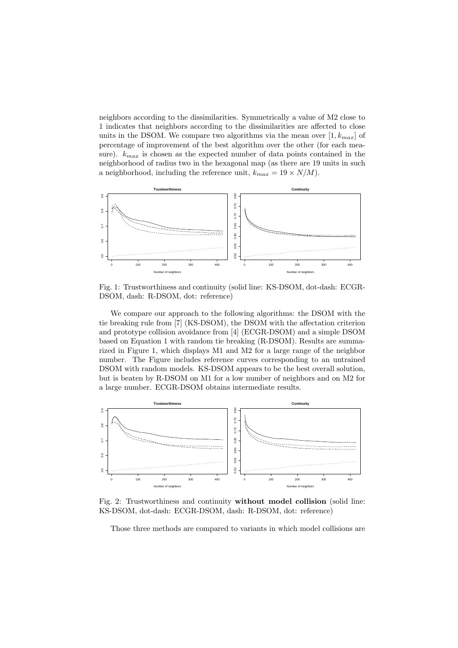neighbors according to the dissimilarities. Symmetrically a value of M2 close to 1 indicates that neighbors according to the dissimilarities are affected to close units in the DSOM. We compare two algorithms via the mean over  $[1, k_{max}]$  of percentage of improvement of the best algorithm over the other (for each measure).  $k_{max}$  is chosen as the expected number of data points contained in the neighborhood of radius two in the hexagonal map (as there are 19 units in such a neighborhood, including the reference unit,  $k_{max} = 19 \times N/M$ .



Fig. 1: Trustworthiness and continuity (solid line: KS-DSOM, dot-dash: ECGR-DSOM, dash: R-DSOM, dot: reference)

We compare our approach to the following algorithms: the DSOM with the tie breaking rule from [7] (KS-DSOM), the DSOM with the affectation criterion and prototype collision avoidance from [4] (ECGR-DSOM) and a simple DSOM based on Equation 1 with random tie breaking (R-DSOM). Results are summarized in Figure 1, which displays M1 and M2 for a large range of the neighbor number. The Figure includes reference curves corresponding to an untrained DSOM with random models. KS-DSOM appears to be the best overall solution, but is beaten by R-DSOM on M1 for a low number of neighbors and on M2 for a large number. ECGR-DSOM obtains intermediate results.



Fig. 2: Trustworthiness and continuity without model collision (solid line: KS-DSOM, dot-dash: ECGR-DSOM, dash: R-DSOM, dot: reference)

Those three methods are compared to variants in which model collisions are